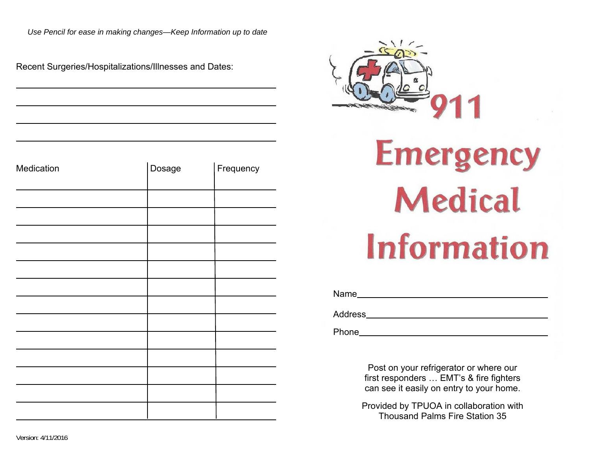*Use Pencil for ease in making changes—Keep Information up to date*

Recent Surgeries/Hospitalizations/Illnesses and Dates:

| Medication | Dosage | Frequency |
|------------|--------|-----------|
|            |        |           |
|            |        |           |
|            |        |           |
|            |        |           |
|            |        |           |
|            |        |           |
|            |        |           |
|            |        |           |
|            |        |           |
|            |        |           |
|            |        |           |
|            |        |           |
|            |        |           |



Name

Address

Phone

Post on your refrigerator or where our first responders … EMT's & fire fighters can see it easily on entry to your home.

Provided by TPUOA in collaboration with Thousand Palms Fire Station 35